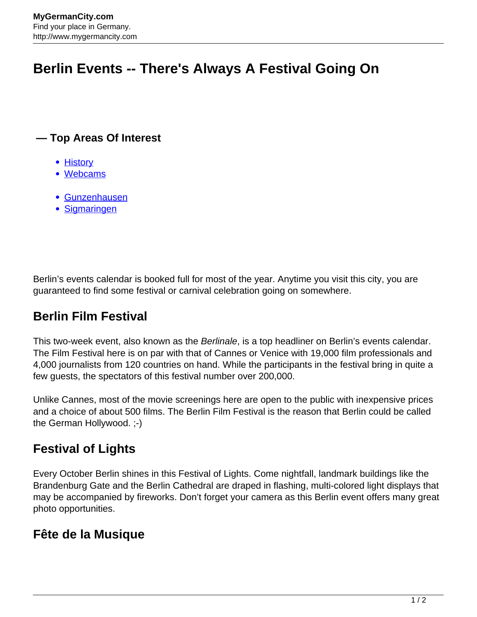# **Berlin Events -- There's Always A Festival Going On**

#### **— Top Areas Of Interest**

- [History](http://www.mygermancity.com/leipzig-history)
- [Webcams](http://www.mygermancity.com/neustadt-holstein-webcams)
- [Gunzenhausen](http://www.mygermancity.com/gunzenhausen)
- [Sigmaringen](http://www.mygermancity.com/sigmaringen)

Berlin's events calendar is booked full for most of the year. Anytime you visit this city, you are guaranteed to find some festival or carnival celebration going on somewhere.

## **Berlin Film Festival**

This two-week event, also known as the Berlinale, is a top headliner on Berlin's events calendar. The Film Festival here is on par with that of Cannes or Venice with 19,000 film professionals and 4,000 journalists from 120 countries on hand. While the participants in the festival bring in quite a few guests, the spectators of this festival number over 200,000.

Unlike Cannes, most of the movie screenings here are open to the public with inexpensive prices and a choice of about 500 films. The Berlin Film Festival is the reason that Berlin could be called the German Hollywood. ;-)

### **Festival of Lights**

Every October Berlin shines in this Festival of Lights. Come nightfall, landmark buildings like the Brandenburg Gate and the Berlin Cathedral are draped in flashing, multi-colored light displays that may be accompanied by fireworks. Don't forget your camera as this Berlin event offers many great photo opportunities.

#### **Fête de la Musique**